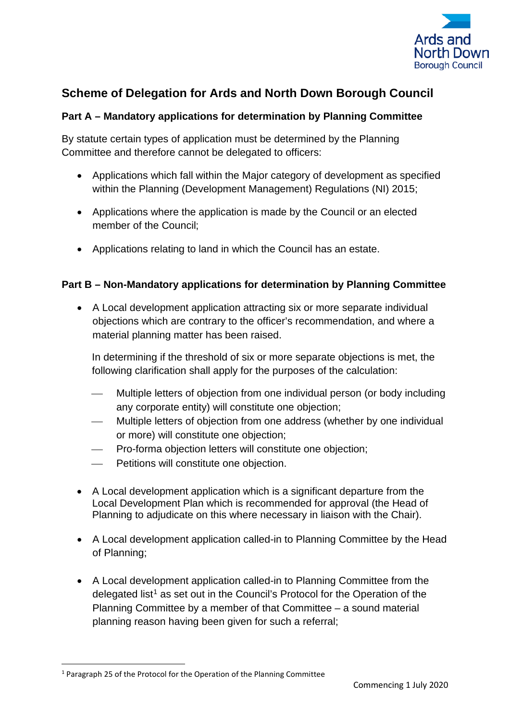

# **Scheme of Delegation for Ards and North Down Borough Council**

# **Part A – Mandatory applications for determination by Planning Committee**

By statute certain types of application must be determined by the Planning Committee and therefore cannot be delegated to officers:

- Applications which fall within the Major category of development as specified within the Planning (Development Management) Regulations (NI) 2015;
- Applications where the application is made by the Council or an elected member of the Council;
- Applications relating to land in which the Council has an estate.

# **Part B – Non-Mandatory applications for determination by Planning Committee**

• A Local development application attracting six or more separate individual objections which are contrary to the officer's recommendation, and where a material planning matter has been raised.

In determining if the threshold of six or more separate objections is met, the following clarification shall apply for the purposes of the calculation:

- Multiple letters of objection from one individual person (or body including any corporate entity) will constitute one objection;
- Multiple letters of objection from one address (whether by one individual or more) will constitute one objection;
- Pro-forma objection letters will constitute one objection;
- Petitions will constitute one objection.
- A Local development application which is a significant departure from the Local Development Plan which is recommended for approval (the Head of Planning to adjudicate on this where necessary in liaison with the Chair).
- A Local development application called-in to Planning Committee by the Head of Planning;
- A Local development application called-in to Planning Committee from the delegated list<sup>[1](#page-0-0)</sup> as set out in the Council's Protocol for the Operation of the Planning Committee by a member of that Committee – a sound material planning reason having been given for such a referral;

<span id="page-0-0"></span><sup>1</sup> Paragraph 25 of the Protocol for the Operation of the Planning Committee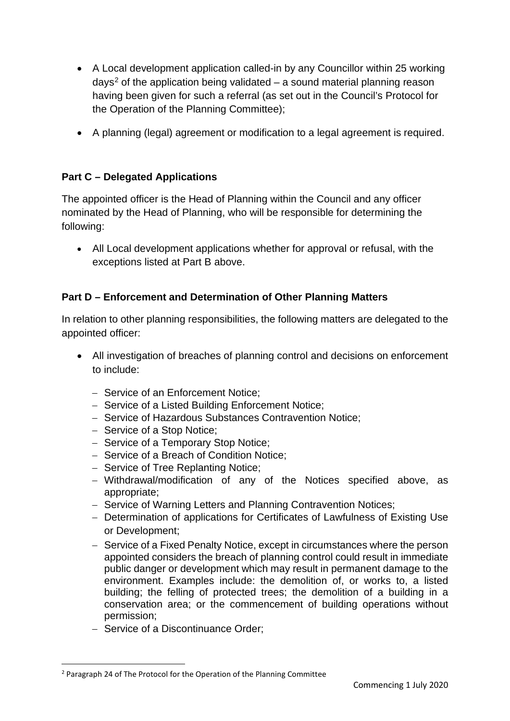- A Local development application called-in by any Councillor within 25 working days<sup>[2](#page-1-0)</sup> of the application being validated – a sound material planning reason having been given for such a referral (as set out in the Council's Protocol for the Operation of the Planning Committee);
- A planning (legal) agreement or modification to a legal agreement is required.

# **Part C – Delegated Applications**

The appointed officer is the Head of Planning within the Council and any officer nominated by the Head of Planning, who will be responsible for determining the following:

• All Local development applications whether for approval or refusal, with the exceptions listed at Part B above.

# **Part D – Enforcement and Determination of Other Planning Matters**

In relation to other planning responsibilities, the following matters are delegated to the appointed officer:

- All investigation of breaches of planning control and decisions on enforcement to include:
	- − Service of an Enforcement Notice;
	- − Service of a Listed Building Enforcement Notice;
	- − Service of Hazardous Substances Contravention Notice;
	- − Service of a Stop Notice;
	- − Service of a Temporary Stop Notice;
	- − Service of a Breach of Condition Notice;
	- − Service of Tree Replanting Notice;
	- − Withdrawal/modification of any of the Notices specified above, as appropriate;
	- − Service of Warning Letters and Planning Contravention Notices;
	- − Determination of applications for Certificates of Lawfulness of Existing Use or Development;
	- − Service of a Fixed Penalty Notice, except in circumstances where the person appointed considers the breach of planning control could result in immediate public danger or development which may result in permanent damage to the environment. Examples include: the demolition of, or works to, a listed building; the felling of protected trees; the demolition of a building in a conservation area; or the commencement of building operations without permission;
	- − Service of a Discontinuance Order;

<span id="page-1-0"></span><sup>&</sup>lt;sup>2</sup> Paragraph 24 of The Protocol for the Operation of the Planning Committee